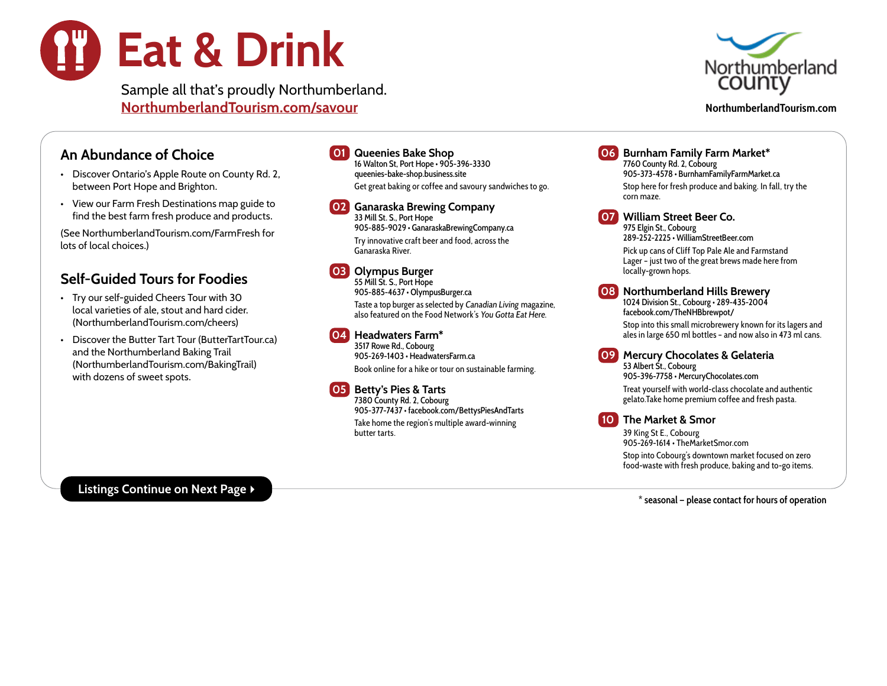

Sample all that's proudly Northumberland. [NorthumberlandTourism.com/savour](http://NorthumberlandTourism.com/savour) **NorthumberlandTourism.com**



### An Abundance of Choice

- Discover Ontario's Apple Route on County Rd. 2, between Port Hope and Brighton.
- View our Farm Fresh Destinations map guide to find the best farm fresh produce and products.

(See [NorthumberlandTourism.com/FarmFresh](https://www.northumberlandtourism.com/en/see-do/farm-fresh.aspx) for lots of local choices.)

## Self-Guided Tours for Foodies

- Try our self-guided Cheers Tour with 30 local varieties of ale, stout and hard cider. [\(NorthumberlandTourism.com/cheers\)](https://www.northumberlandtourism.com/en/see-do/CheersTour.aspx)
- Discover the Butter Tart Tour (ButterTartTour.ca) and the Northumberland Baking Trail [\(NorthumberlandTourism.com/BakingTrail](https://www.northumberlandtourism.com/en/resourcesGeneral/Accessible-PDFs-General/220324-Baking-Trail-AODA.pdf)) with dozens of sweet spots.

01 Queenies Bake Shop 16 Walton St, Port Hope • 905-396-3330 [queenies-bake-shop.business.site](https://queenies-bake-shop.business.site/) Get great baking or coffee and savoury sandwiches to go.

02 Ganaraska Brewing Company 33 Mill St. S., Port Hope 905-885-9029 • [GanaraskaBrewingCompany.ca](https://www.ganaraskabrewingcompany.ca/) Try innovative craft beer and food, across the Ganaraska River.

### 03 Olympus Burger

55 Mill St. S., Port Hope 905-885-4637 • [OlympusBurger.ca](http://olympusburger.ca/) Taste a top burger as selected by Canadian Living magazine, also featured on the Food Network's You Gotta Eat Here.

### 04 Headwaters Farm\*

3517 Rowe Rd., Cobourg 905-269-1403 • [HeadwatersFarm.ca](https://www.headwatersfarm.ca/) Book online for a hike or tour on sustainable farming.

### 05 Betty's Pies & Tarts

7380 County Rd. 2, Cobourg 905-377-7437 • [facebook.com/BettysPiesAndTarts](https://www.facebook.com/BettysPiesandTarts/) Take home the region's multiple award-winning butter tarts.

06 Burnham Family Farm Market\* 7760 County Rd. 2, Cobourg 905-373-4578 • [BurnhamFamilyFarmMarket.ca](https://burnhamfamilyfarmmarket.ca/) Stop here for fresh produce and baking. In fall, try the corn maze.

07 William Street Beer Co.

975 Elgin St., Cobourg 289-252-2225 • [WilliamStreetBeer.com](https://www.williamstreetbeer.com/) Pick up cans of Cliff Top Pale Ale and Farmstand Lager – just two of the great brews made here from

locally-grown hops.

08 Northumberland Hills Brewery

1024 Division St., Cobourg • 289-435-2004 [facebook.com/TheNHBbrewpot/](https://www.facebook.com/TheNHBbrewpot/)

Stop into this small microbrewery known for its lagers and ales in large 650 ml bottles – and now also in 473 ml cans.

09 Mercury Chocolates & Gelateria 53 Albert St., Cobourg 905-396-7758 • [MercuryChocolates.com](https://www.mercurychocolates.com/) Treat yourself with world-class chocolate and authentic gelato.Take home premium coffee and fresh pasta.

10 The Market & Smor

39 King St E., Cobourg 905-269-1614 • [TheMarketSmor.com](https://themarketsmor.com/) Stop into Cobourg's downtown market focused on zero food-waste with fresh produce, baking and to-go items.

Listings Continue on Next Page  $\blacktriangleright$ 

**\* seasonal — please contact for hours of operation**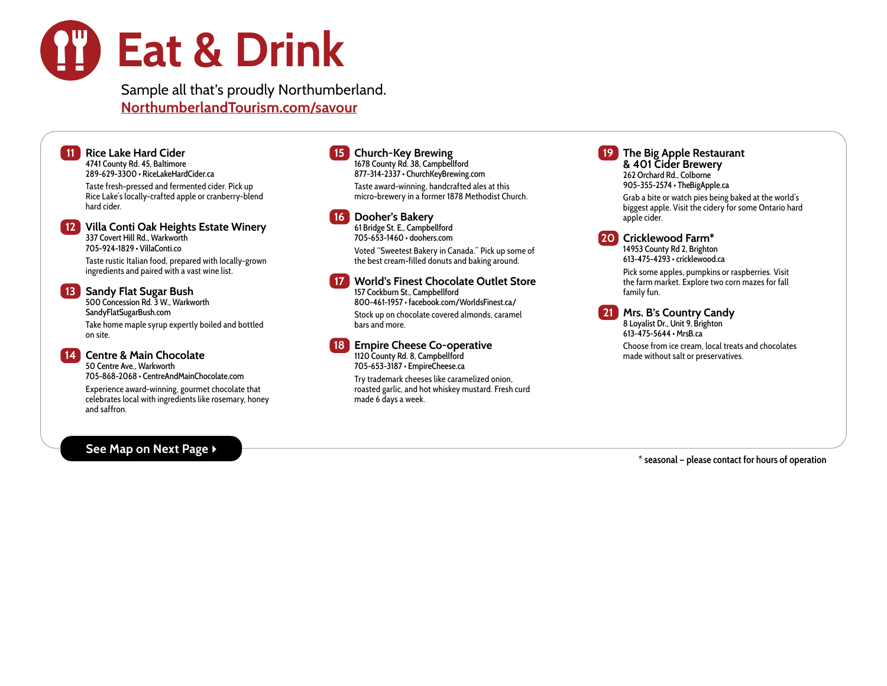# Eat & Drink

Sample all that's proudly Northumberland. NorthumberlandTourism.com/savour

**11 Rice Lake Hard Cider** 4741 County Rd. 45, Baltimore 289-629-3300 •<RiceLakeHardCider.ca> Taste fresh-pressed and fermented cider. Pick up Rice Lake's locally-crafted apple or cranberry-blend hard cider. 12 Villa Conti Oak Heights Estate Winery 337 Covert Hill Rd., Warkworth

705-924-1829 • [VillaConti.co](http://VillaConti.co)

Taste rustic Italian food, prepared with locally-grown ingredients and paired with a vast wine list.

### **13** Sandy Flat Sugar Bush

500 Concession Rd. 3 W., Warkworth <SandyFlatSugarBush.com>

Take home maple syrup expertly boiled and bottled on site.

### 14 Centre & Main Chocolate 50 Centre Ave., Warkworth

705-868-2068 • [CentreAndMainChocolate.com](http://CentreAndMainChocolate.com)

Experience award-winning, gourmet chocolate that celebrates local with ingredients like rosemary, honey and saffron.

### See Map on Next Page ▶

### 15 Church-Key Brewing

1678 County Rd. 38, Campbellford 877-314-2337 • [ChurchKeyBrewing.com](http://ChurchKeyBrewing.com) Taste award-winning, handcrafted ales at this micro-brewery in a former 1878 Methodist Church.

### 16 Dooher's Bakery

61 Bridge St. E., Campbellford 705-653-1460 • [doohers.com](http://doohers.com)

Voted "Sweetest Bakery in Canada." Pick up some of the best cream-filled donuts and baking around.

17 World's Finest Chocolate Outlet Store 157 Cockburn St., Campbellford 800-461-1957 •<facebook.com/WorldsFinest.ca/> Stock up on chocolate covered almonds, caramel bars and more.

**18 Empire Cheese Co-operative** 1120 County Rd. 8, Campbellford 705-653-3187 • [EmpireCheese.ca](http://EmpireCheese.ca)

> Try trademark cheeses like caramelized onion, roasted garlic, and hot whiskey mustard. Fresh curd made 6 days a week.

The Big Apple Restaurant & 401 Cider Brewery 262 Orchard Rd., Colborne 905-355-2574 • [TheBigApple.ca](http://TheBigApple.ca)

Grab a bite or watch pies being baked at the world's biggest apple. Visit the cidery for some Ontario hard apple cider.

20 Cricklewood Farm\*

14953 County Rd 2, Brighton 613-475-4293 • [cricklewood.ca](http://cricklewood.ca)

Pick some apples, pumpkins or raspberries. Visit the farm market. Explore two corn mazes for fall family fun.



**21** Mrs. B's Country Candy 8 Loyalist Dr., Unit 9, Brighton

613-475-5644 •<MrsB.ca> Choose from ice cream, local treats and chocolates

made without salt or preservatives.

**\* seasonal — please contact for hours of operation**